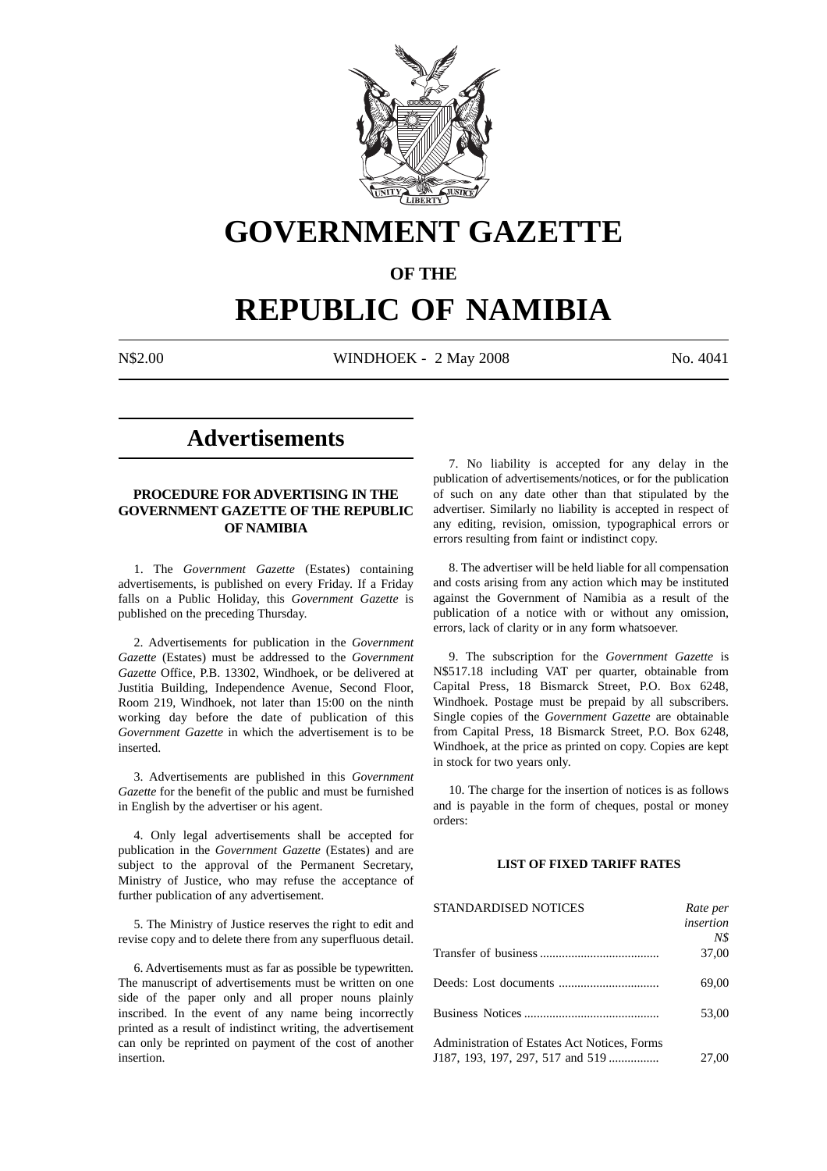

# **GOVERNMENT GAZETTE**

### **OF THE**

# **REPUBLIC OF NAMIBIA**

N\$2.00 WINDHOEK - 2 May 2008 No. 4041

## **Advertisements**

#### **PROCEDURE FOR ADVERTISING IN THE GOVERNMENT GAZETTE OF THE REPUBLIC OF NAMIBIA**

1. The *Government Gazette* (Estates) containing advertisements, is published on every Friday. If a Friday falls on a Public Holiday, this *Government Gazette* is published on the preceding Thursday.

2. Advertisements for publication in the *Government Gazette* (Estates) must be addressed to the *Government Gazette* Office, P.B. 13302, Windhoek, or be delivered at Justitia Building, Independence Avenue, Second Floor, Room 219, Windhoek, not later than 15:00 on the ninth working day before the date of publication of this *Government Gazette* in which the advertisement is to be inserted.

3. Advertisements are published in this *Government Gazette* for the benefit of the public and must be furnished in English by the advertiser or his agent.

4. Only legal advertisements shall be accepted for publication in the *Government Gazette* (Estates) and are subject to the approval of the Permanent Secretary, Ministry of Justice, who may refuse the acceptance of further publication of any advertisement.

5. The Ministry of Justice reserves the right to edit and revise copy and to delete there from any superfluous detail.

6. Advertisements must as far as possible be typewritten. The manuscript of advertisements must be written on one side of the paper only and all proper nouns plainly inscribed. In the event of any name being incorrectly printed as a result of indistinct writing, the advertisement can only be reprinted on payment of the cost of another insertion.

7. No liability is accepted for any delay in the publication of advertisements/notices, or for the publication of such on any date other than that stipulated by the advertiser. Similarly no liability is accepted in respect of any editing, revision, omission, typographical errors or errors resulting from faint or indistinct copy.

8. The advertiser will be held liable for all compensation and costs arising from any action which may be instituted against the Government of Namibia as a result of the publication of a notice with or without any omission, errors, lack of clarity or in any form whatsoever.

9. The subscription for the *Government Gazette* is N\$517.18 including VAT per quarter, obtainable from Capital Press, 18 Bismarck Street, P.O. Box 6248, Windhoek. Postage must be prepaid by all subscribers. Single copies of the *Government Gazette* are obtainable from Capital Press, 18 Bismarck Street, P.O. Box 6248, Windhoek, at the price as printed on copy. Copies are kept in stock for two years only.

10. The charge for the insertion of notices is as follows and is payable in the form of cheques, postal or money orders:

#### **LIST OF FIXED TARIFF RATES**

| <b>STANDARDISED NOTICES</b>                  | Rate per  |
|----------------------------------------------|-----------|
|                                              | insertion |
|                                              | N\$       |
|                                              | 37,00     |
|                                              | 69,00     |
|                                              | 53,00     |
| Administration of Estates Act Notices, Forms |           |
| J187, 193, 197, 297, 517 and 519             | 27,00     |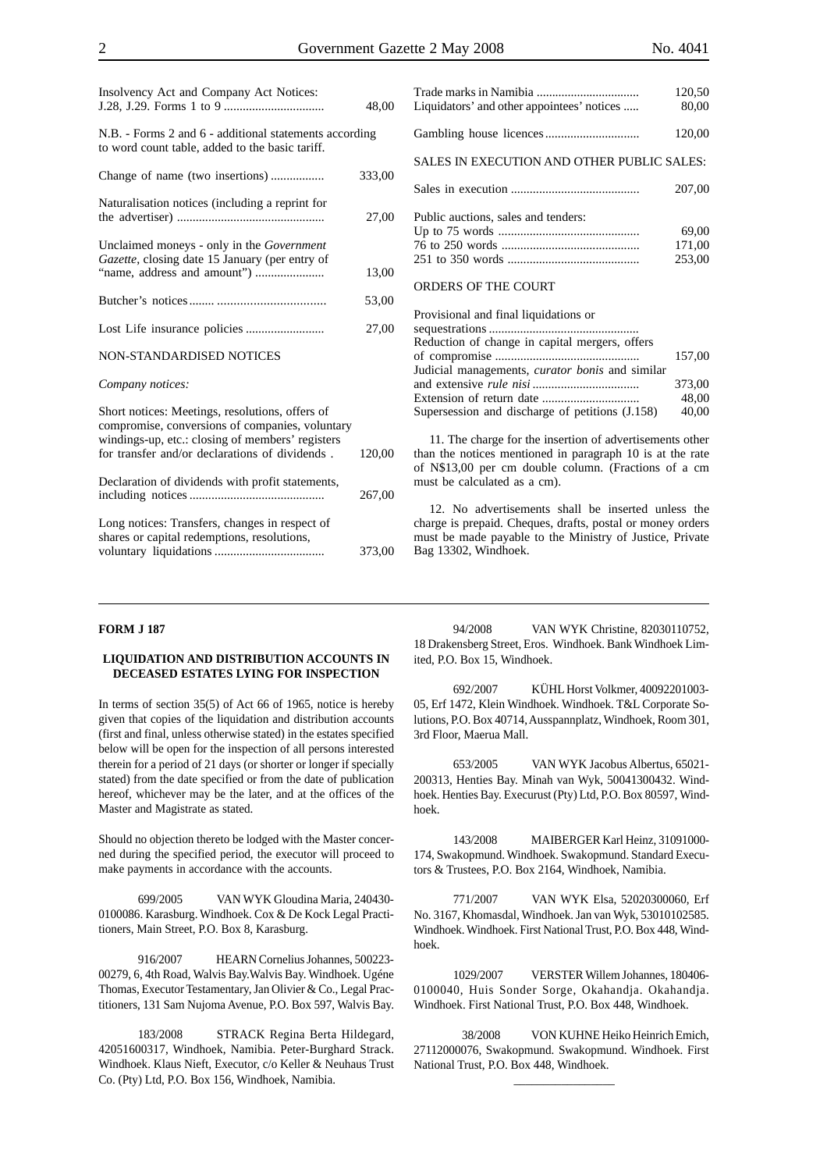|                                                                                                                                                                                                          | 48,00  |
|----------------------------------------------------------------------------------------------------------------------------------------------------------------------------------------------------------|--------|
| N.B. - Forms 2 and 6 - additional statements according<br>to word count table, added to the basic tariff.                                                                                                |        |
|                                                                                                                                                                                                          | 333,00 |
| Naturalisation notices (including a reprint for                                                                                                                                                          | 27,00  |
| Unclaimed moneys - only in the Government<br>Gazette, closing date 15 January (per entry of                                                                                                              | 13,00  |
|                                                                                                                                                                                                          | 53,00  |
|                                                                                                                                                                                                          | 27,00  |
| NON-STANDARDISED NOTICES                                                                                                                                                                                 |        |
| Company notices:                                                                                                                                                                                         |        |
| Short notices: Meetings, resolutions, offers of<br>compromise, conversions of companies, voluntary<br>windings-up, etc.: closing of members' registers<br>for transfer and/or declarations of dividends. | 120,00 |
| Declaration of dividends with profit statements,                                                                                                                                                         | 267,00 |
| Long notices: Transfers, changes in respect of<br>shares or capital redemptions, resolutions,                                                                                                            | 373,00 |

Insolvency Act and Company Act Notices:

| Liquidators' and other appointees' notices | 120.JU<br>80,00           |
|--------------------------------------------|---------------------------|
|                                            | 120,00                    |
| SALES IN EXECUTION AND OTHER PUBLIC SALES: |                           |
|                                            | 207,00                    |
| Public auctions, sales and tenders:        | 69,00<br>171,00<br>253.00 |

Trade marks in Namibia ................................. 120,50

#### ORDERS OF THE COURT

| Provisional and final liquidations or                  |        |
|--------------------------------------------------------|--------|
|                                                        |        |
| Reduction of change in capital mergers, offers         |        |
|                                                        | 157.00 |
| Judicial managements, <i>curator bonis</i> and similar |        |
|                                                        | 373,00 |
|                                                        | 48.00  |
| Supersession and discharge of petitions (J.158)        | 40,00  |
|                                                        |        |

11. The charge for the insertion of advertisements other than the notices mentioned in paragraph 10 is at the rate of N\$13,00 per cm double column. (Fractions of a cm must be calculated as a cm).

12. No advertisements shall be inserted unless the charge is prepaid. Cheques, drafts, postal or money orders must be made payable to the Ministry of Justice, Private Bag 13302, Windhoek.

#### **FORM J 187**

#### **LIQUIDATION AND DISTRIBUTION ACCOUNTS IN DECEASED ESTATES LYING FOR INSPECTION**

In terms of section 35(5) of Act 66 of 1965, notice is hereby given that copies of the liquidation and distribution accounts (first and final, unless otherwise stated) in the estates specified below will be open for the inspection of all persons interested therein for a period of 21 days (or shorter or longer if specially stated) from the date specified or from the date of publication hereof, whichever may be the later, and at the offices of the Master and Magistrate as stated.

Should no objection thereto be lodged with the Master concerned during the specified period, the executor will proceed to make payments in accordance with the accounts.

699/2005 VAN WYK Gloudina Maria, 240430- 0100086. Karasburg. Windhoek. Cox & De Kock Legal Practitioners, Main Street, P.O. Box 8, Karasburg.

916/2007 HEARN Cornelius Johannes, 500223- 00279, 6, 4th Road, Walvis Bay.Walvis Bay. Windhoek. Ugéne Thomas, Executor Testamentary, Jan Olivier & Co., Legal Practitioners, 131 Sam Nujoma Avenue, P.O. Box 597, Walvis Bay.

183/2008 STRACK Regina Berta Hildegard, 42051600317, Windhoek, Namibia. Peter-Burghard Strack. Windhoek. Klaus Nieft, Executor, c/o Keller & Neuhaus Trust Co. (Pty) Ltd, P.O. Box 156, Windhoek, Namibia.

94/2008 VAN WYK Christine, 82030110752, 18 Drakensberg Street, Eros. Windhoek. Bank Windhoek Limited, P.O. Box 15, Windhoek.

692/2007 KÜHL Horst Volkmer, 40092201003- 05, Erf 1472, Klein Windhoek. Windhoek. T&L Corporate Solutions, P.O. Box 40714, Ausspannplatz, Windhoek, Room 301, 3rd Floor, Maerua Mall.

653/2005 VAN WYK Jacobus Albertus, 65021- 200313, Henties Bay. Minah van Wyk, 50041300432. Windhoek. Henties Bay. Execurust (Pty) Ltd, P.O. Box 80597, Windhoek.

143/2008 MAIBERGER Karl Heinz, 31091000- 174, Swakopmund. Windhoek. Swakopmund. Standard Executors & Trustees, P.O. Box 2164, Windhoek, Namibia.

771/2007 VAN WYK Elsa, 52020300060, Erf No. 3167, Khomasdal, Windhoek. Jan van Wyk, 53010102585. Windhoek. Windhoek. First National Trust, P.O. Box 448, Windhoek.

1029/2007 VERSTER Willem Johannes, 180406- 0100040, Huis Sonder Sorge, Okahandja. Okahandja. Windhoek. First National Trust, P.O. Box 448, Windhoek.

 38/2008 VON KUHNE Heiko Heinrich Emich, 27112000076, Swakopmund. Swakopmund. Windhoek. First National Trust, P.O. Box 448, Windhoek.

\_\_\_\_\_\_\_\_\_\_\_\_\_\_\_\_\_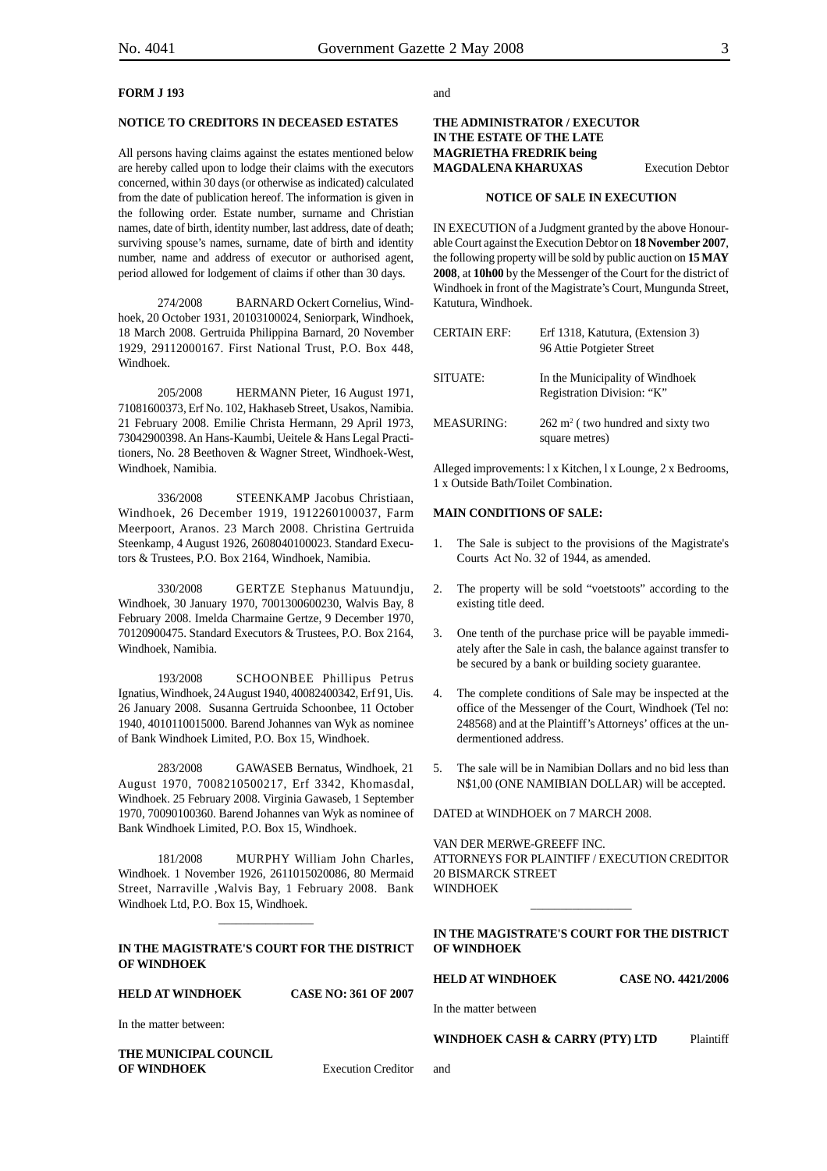#### **FORM J 193**

#### **NOTICE TO CREDITORS IN DECEASED ESTATES**

All persons having claims against the estates mentioned below are hereby called upon to lodge their claims with the executors concerned, within 30 days (or otherwise as indicated) calculated from the date of publication hereof. The information is given in the following order. Estate number, surname and Christian names, date of birth, identity number, last address, date of death; surviving spouse's names, surname, date of birth and identity number, name and address of executor or authorised agent, period allowed for lodgement of claims if other than 30 days.

274/2008 BARNARD Ockert Cornelius, Windhoek, 20 October 1931, 20103100024, Seniorpark, Windhoek, 18 March 2008. Gertruida Philippina Barnard, 20 November 1929, 29112000167. First National Trust, P.O. Box 448, Windhoek.

205/2008 HERMANN Pieter, 16 August 1971, 71081600373, Erf No. 102, Hakhaseb Street, Usakos, Namibia. 21 February 2008. Emilie Christa Hermann, 29 April 1973, 73042900398. An Hans-Kaumbi, Ueitele & Hans Legal Practitioners, No. 28 Beethoven & Wagner Street, Windhoek-West, Windhoek, Namibia.

336/2008 STEENKAMP Jacobus Christiaan, Windhoek, 26 December 1919, 1912260100037, Farm Meerpoort, Aranos. 23 March 2008. Christina Gertruida Steenkamp, 4 August 1926, 2608040100023. Standard Executors & Trustees, P.O. Box 2164, Windhoek, Namibia.

330/2008 GERTZE Stephanus Matuundju, Windhoek, 30 January 1970, 7001300600230, Walvis Bay, 8 February 2008. Imelda Charmaine Gertze, 9 December 1970, 70120900475. Standard Executors & Trustees, P.O. Box 2164, Windhoek, Namibia.

193/2008 SCHOONBEE Phillipus Petrus Ignatius, Windhoek, 24 August 1940, 40082400342, Erf 91, Uis. 26 January 2008. Susanna Gertruida Schoonbee, 11 October 1940, 4010110015000. Barend Johannes van Wyk as nominee of Bank Windhoek Limited, P.O. Box 15, Windhoek.

283/2008 GAWASEB Bernatus, Windhoek, 21 August 1970, 7008210500217, Erf 3342, Khomasdal, Windhoek. 25 February 2008. Virginia Gawaseb, 1 September 1970, 70090100360. Barend Johannes van Wyk as nominee of Bank Windhoek Limited, P.O. Box 15, Windhoek.

181/2008 MURPHY William John Charles, Windhoek. 1 November 1926, 2611015020086, 80 Mermaid Street, Narraville ,Walvis Bay, 1 February 2008. Bank Windhoek Ltd, P.O. Box 15, Windhoek.

#### **IN THE MAGISTRATE'S COURT FOR THE DISTRICT OF WINDHOEK**

\_\_\_\_\_\_\_\_\_\_\_\_\_\_\_\_

#### **HELD AT WINDHOEK CASE NO: 361 OF 2007**

In the matter between:

**THE MUNICIPAL COUNCIL OF WINDHOEK** Execution Creditor

and

#### **THE ADMINISTRATOR / EXECUTOR IN THE ESTATE OF THE LATE MAGRIETHA FREDRIK being MAGDALENA KHARUXAS** Execution Debtor

#### **NOTICE OF SALE IN EXECUTION**

IN EXECUTION of a Judgment granted by the above Honourable Court against the Execution Debtor on **18 November 2007**, the following property will be sold by public auction on **15 MAY 2008**, at **10h00** by the Messenger of the Court for the district of Windhoek in front of the Magistrate's Court, Mungunda Street, Katutura, Windhoek.

| <b>CERTAIN ERF:</b> | Erf 1318, Katutura, (Extension 3)<br>96 Attie Potgieter Street |
|---------------------|----------------------------------------------------------------|
| SITUATE:            | In the Municipality of Windhoek<br>Registration Division: "K"  |
| MEASURING:          | $262 \text{ m}^2$ (two hundred and sixty two<br>square metres) |

Alleged improvements: l x Kitchen, l x Lounge, 2 x Bedrooms, 1 x Outside Bath/Toilet Combination.

#### **MAIN CONDITIONS OF SALE:**

- 1. The Sale is subject to the provisions of the Magistrate's Courts Act No. 32 of 1944, as amended.
- 2. The property will be sold "voetstoots" according to the existing title deed.
- 3. One tenth of the purchase price will be payable immediately after the Sale in cash, the balance against transfer to be secured by a bank or building society guarantee.
- 4. The complete conditions of Sale may be inspected at the office of the Messenger of the Court, Windhoek (Tel no: 248568) and at the Plaintiff's Attorneys' offices at the undermentioned address.
- 5. The sale will be in Namibian Dollars and no bid less than N\$1,00 (ONE NAMIBIAN DOLLAR) will be accepted.

DATED at WINDHOEK on 7 MARCH 2008.

VAN DER MERWE-GREEFF INC. ATTORNEYS FOR PLAINTIFF / EXECUTION CREDITOR 20 BISMARCK STREET WINDHOEK

\_\_\_\_\_\_\_\_\_\_\_\_\_\_\_\_\_

#### **IN THE MAGISTRATE'S COURT FOR THE DISTRICT OF WINDHOEK**

**HELD AT WINDHOEK CASE NO. 4421/2006**

In the matter between

and

**WINDHOEK CASH & CARRY (PTY) LTD** Plaintiff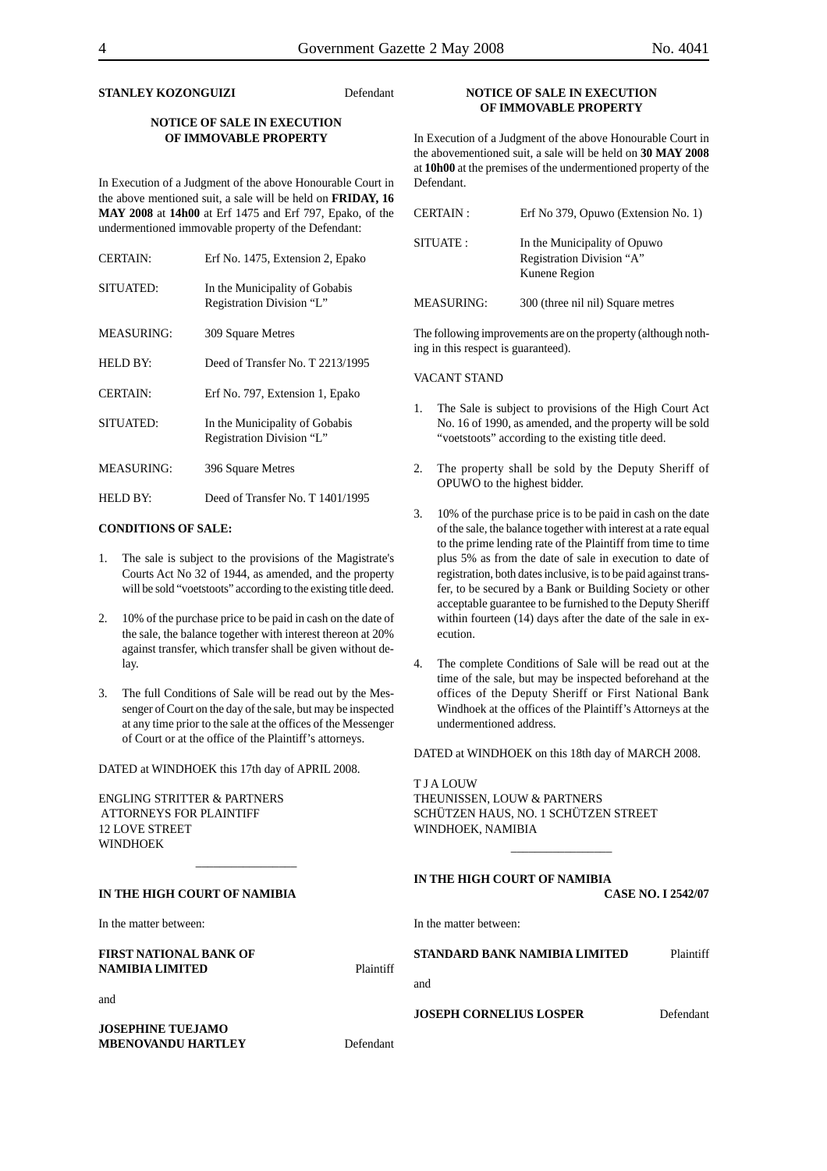#### **STANLEY KOZONGUIZI** Defendant

#### **NOTICE OF SALE IN EXECUTION OF IMMOVABLE PROPERTY**

In Execution of a Judgment of the above Honourable Court in the above mentioned suit, a sale will be held on **FRIDAY, 16 MAY 2008** at **14h00** at Erf 1475 and Erf 797, Epako, of the undermentioned immovable property of the Defendant:

| <b>CERTAIN:</b>   | Erf No. 1475, Extension 2, Epako                            |
|-------------------|-------------------------------------------------------------|
| SITUATED:         | In the Municipality of Gobabis<br>Registration Division "L" |
| MEASURING:        | 309 Square Metres                                           |
| <b>HELD BY:</b>   | Deed of Transfer No. T 2213/1995                            |
| <b>CERTAIN:</b>   | Erf No. 797, Extension 1, Epako                             |
| SITUATED:         | In the Municipality of Gobabis<br>Registration Division "L" |
| <b>MEASURING:</b> | 396 Square Metres                                           |
| HELD BY:          | Deed of Transfer No. T 1401/1995                            |

#### **CONDITIONS OF SALE:**

- 1. The sale is subject to the provisions of the Magistrate's Courts Act No 32 of 1944, as amended, and the property will be sold "voetstoots" according to the existing title deed.
- 2. 10% of the purchase price to be paid in cash on the date of the sale, the balance together with interest thereon at 20% against transfer, which transfer shall be given without delay.
- 3. The full Conditions of Sale will be read out by the Messenger of Court on the day of the sale, but may be inspected at any time prior to the sale at the offices of the Messenger of Court or at the office of the Plaintiff's attorneys.

\_\_\_\_\_\_\_\_\_\_\_\_\_\_\_\_\_

DATED at WINDHOEK this 17th day of APRIL 2008.

ENGLING STRITTER & PARTNERS ATTORNEYS FOR PLAINTIFF 12 LOVE STREET WINDHOEK

**MBENOVANDU HARTLEY** Defendant

#### **NOTICE OF SALE IN EXECUTION OF IMMOVABLE PROPERTY**

In Execution of a Judgment of the above Honourable Court in the abovementioned suit, a sale will be held on **30 MAY 2008** at **10h00** at the premises of the undermentioned property of the Defendant.

| <b>CERTAIN:</b>   | Erf No 379, Opuwo (Extension No. 1)                                        |
|-------------------|----------------------------------------------------------------------------|
| SITUATE:          | In the Municipality of Opuwo<br>Registration Division "A"<br>Kunene Region |
| <b>MEASURING:</b> | 300 (three nil nil) Square metres                                          |

The following improvements are on the property (although nothing in this respect is guaranteed).

#### VACANT STAND

- 1. The Sale is subject to provisions of the High Court Act No. 16 of 1990, as amended, and the property will be sold "voetstoots" according to the existing title deed.
- 2. The property shall be sold by the Deputy Sheriff of OPUWO to the highest bidder.
- 3. 10% of the purchase price is to be paid in cash on the date of the sale, the balance together with interest at a rate equal to the prime lending rate of the Plaintiff from time to time plus 5% as from the date of sale in execution to date of registration, both dates inclusive, is to be paid against transfer, to be secured by a Bank or Building Society or other acceptable guarantee to be furnished to the Deputy Sheriff within fourteen (14) days after the date of the sale in execution.
- 4. The complete Conditions of Sale will be read out at the time of the sale, but may be inspected beforehand at the offices of the Deputy Sheriff or First National Bank Windhoek at the offices of the Plaintiff's Attorneys at the undermentioned address.

DATED at WINDHOEK on this 18th day of MARCH 2008.

\_\_\_\_\_\_\_\_\_\_\_\_\_\_\_\_\_

T J A LOUW THEUNISSEN, LOUW & PARTNERS SCHÜTZEN HAUS, NO. 1 SCHÜTZEN STREET WINDHOEK, NAMIBIA

| IN THE HIGH COURT OF NAMIBIA<br><b>CASE NO. I 2542/07</b> |
|-----------------------------------------------------------|
| In the matter between:                                    |
| STANDARD BANK NAMIBIA LIMITED<br>Plaintiff<br>Plaintiff   |
| and                                                       |
| <b>JOSEPH CORNELIUS LOSPER</b><br>Defendant               |
|                                                           |
|                                                           |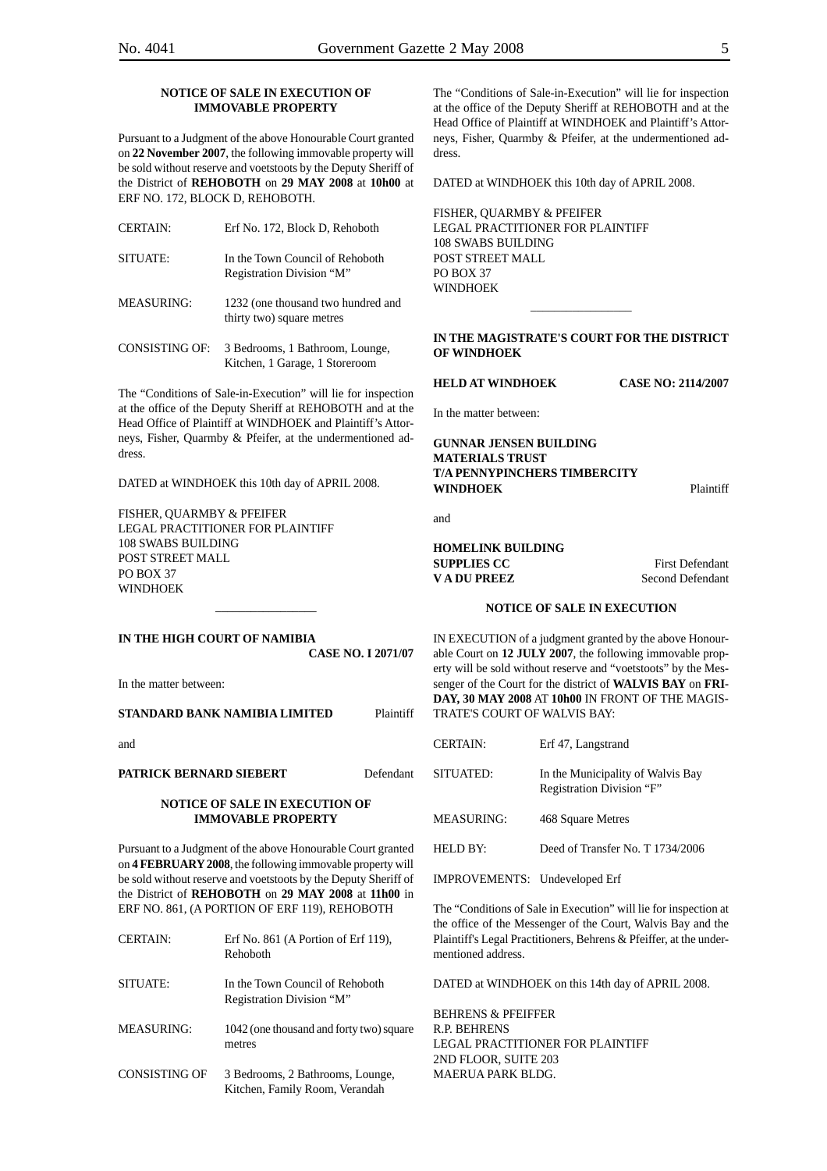#### **NOTICE OF SALE IN EXECUTION OF IMMOVABLE PROPERTY**

Pursuant to a Judgment of the above Honourable Court granted on **22 November 2007**, the following immovable property will be sold without reserve and voetstoots by the Deputy Sheriff of the District of **REHOBOTH** on **29 MAY 2008** at **10h00** at ERF NO. 172, BLOCK D, REHOBOTH.

| CERTAIN: | Erf No. 172. Block D. Rehoboth                               |
|----------|--------------------------------------------------------------|
| SITUATE: | In the Town Council of Rehoboth<br>Registration Division "M" |

MEASURING: 1232 (one thousand two hundred and thirty two) square metres

CONSISTING OF: 3 Bedrooms, 1 Bathroom, Lounge, Kitchen, 1 Garage, 1 Storeroom

The "Conditions of Sale-in-Execution" will lie for inspection at the office of the Deputy Sheriff at REHOBOTH and at the Head Office of Plaintiff at WINDHOEK and Plaintiff's Attorneys, Fisher, Quarmby & Pfeifer, at the undermentioned address.

DATED at WINDHOEK this 10th day of APRIL 2008.

FISHER, QUARMBY & PFEIFER LEGAL PRACTITIONER FOR PLAINTIFF 108 SWABS BUILDING POST STREET MALL PO BOX 37 **WINDHOFK** 

**IN THE HIGH COURT OF NAMIBIA CASE NO. I 2071/07**

\_\_\_\_\_\_\_\_\_\_\_\_\_\_\_\_\_

In the matter between:

**STANDARD BANK NAMIBIA LIMITED** Plaintiff

and

**PATRICK BERNARD SIEBERT Defendant** 

#### **NOTICE OF SALE IN EXECUTION OF IMMOVABLE PROPERTY**

Pursuant to a Judgment of the above Honourable Court granted on **4 FEBRUARY 2008**, the following immovable property will be sold without reserve and voetstoots by the Deputy Sheriff of the District of **REHOBOTH** on **29 MAY 2008** at **11h00** in ERF NO. 861, (A PORTION OF ERF 119), REHOBOTH

| <b>CERTAIN:</b> | Erf No. 861 (A Portion of Erf 119).<br>Rehoboth                    |
|-----------------|--------------------------------------------------------------------|
| SITUATE:        | In the Town Council of Rehoboth<br>Registration Division "M"       |
| MEASURING:      | 1042 (one thousand and forty two) square<br>metres                 |
| CONSISTING OF   | 3 Bedrooms, 2 Bathrooms, Lounge,<br>Kitchen, Family Room, Verandah |

The "Conditions of Sale-in-Execution" will lie for inspection at the office of the Deputy Sheriff at REHOBOTH and at the Head Office of Plaintiff at WINDHOEK and Plaintiff's Attorneys, Fisher, Quarmby & Pfeifer, at the undermentioned address.

DATED at WINDHOEK this 10th day of APRIL 2008.

FISHER, QUARMBY & PFEIFER LEGAL PRACTITIONER FOR PLAINTIFF 108 SWABS BUILDING POST STREET MALL PO BOX 37 **WINDHOFK** 

#### **IN THE MAGISTRATE'S COURT FOR THE DISTRICT OF WINDHOEK**

\_\_\_\_\_\_\_\_\_\_\_\_\_\_\_\_\_

**HELD AT WINDHOEK CASE NO: 2114/2007**

In the matter between:

#### **GUNNAR JENSEN BUILDING MATERIALS TRUST T/A PENNYPINCHERS TIMBERCITY WINDHOEK** Plaintiff

and

**HOMELINK BUILDING SUPPLIES CC** First Defendant **V A DU PREEZ** Second Defendant

#### **NOTICE OF SALE IN EXECUTION**

IN EXECUTION of a judgment granted by the above Honourable Court on **12 JULY 2007**, the following immovable property will be sold without reserve and "voetstoots" by the Messenger of the Court for the district of **WALVIS BAY** on **FRI-DAY, 30 MAY 2008** AT **10h00** IN FRONT OF THE MAGIS-TRATE'S COURT OF WALVIS BAY:

| <b>CERTAIN:</b> | Erf 47, Langstrand                                             |
|-----------------|----------------------------------------------------------------|
| SITUATED:       | In the Municipality of Walvis Bay<br>Registration Division "F" |
| MEASURING:      | 468 Square Metres                                              |
| HELD BY:        | Deed of Transfer No. T 1734/2006                               |
|                 |                                                                |

IMPROVEMENTS: Undeveloped Erf

The "Conditions of Sale in Execution" will lie for inspection at the office of the Messenger of the Court, Walvis Bay and the Plaintiff's Legal Practitioners, Behrens & Pfeiffer, at the undermentioned address.

DATED at WINDHOEK on this 14th day of APRIL 2008.

BEHRENS & PFEIFFER R.P. BEHRENS LEGAL PRACTITIONER FOR PLAINTIFF 2ND FLOOR, SUITE 203 MAERUA PARK BLDG.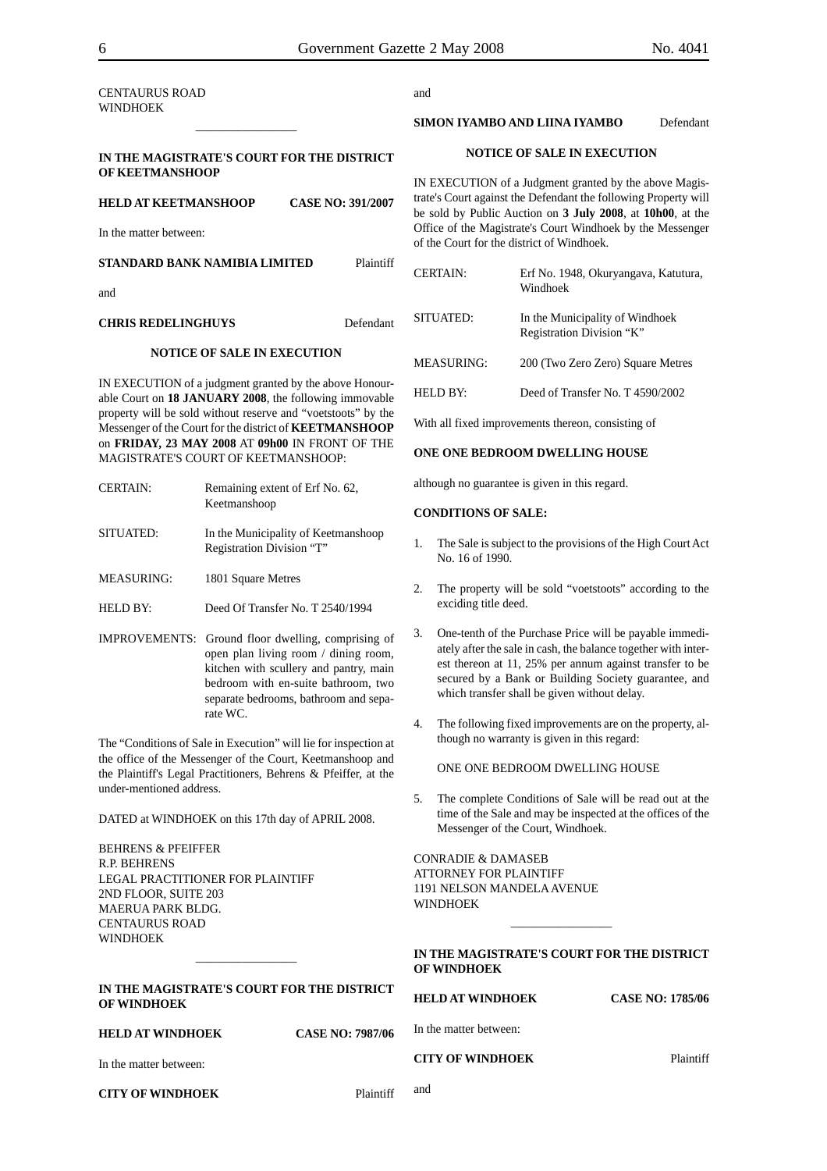| CENTAURUS ROAD |
|----------------|
| WINDHOEK       |

#### **IN THE MAGISTRATE'S COURT FOR THE DISTRICT OF KEETMANSHOOP**

\_\_\_\_\_\_\_\_\_\_\_\_\_\_\_\_\_

| <b>HELD AT KEETMANSHOOP</b>   | <b>CASE NO: 391/2007</b> |
|-------------------------------|--------------------------|
| In the matter between:        |                          |
| STANDARD BANK NAMIBIA LIMITED | Plaintiff                |

and

#### **CHRIS REDELINGHUYS** Defendant

#### **NOTICE OF SALE IN EXECUTION**

IN EXECUTION of a judgment granted by the above Honourable Court on **18 JANUARY 2008**, the following immovable property will be sold without reserve and "voetstoots" by the Messenger of the Court for the district of **KEETMANSHOOP** on **FRIDAY, 23 MAY 2008** AT **09h00** IN FRONT OF THE MAGISTRATE'S COURT OF KEETMANSHOOP:

| <b>CERTAIN:</b> | Remaining extent of Erf No. 62,<br>Keetmanshoop                  |
|-----------------|------------------------------------------------------------------|
| SITUATED:       | In the Municipality of Keetmanshoop<br>Registration Division "T" |

MEASURING: 1801 Square Metres

- HELD BY: Deed Of Transfer No. T 2540/1994
- IMPROVEMENTS: Ground floor dwelling, comprising of open plan living room / dining room, kitchen with scullery and pantry, main bedroom with en-suite bathroom, two separate bedrooms, bathroom and separate WC.

The "Conditions of Sale in Execution" will lie for inspection at the office of the Messenger of the Court, Keetmanshoop and the Plaintiff's Legal Practitioners, Behrens & Pfeiffer, at the under-mentioned address.

DATED at WINDHOEK on this 17th day of APRIL 2008.

BEHRENS & PFEIFFER R.P. BEHRENS LEGAL PRACTITIONER FOR PLAINTIFF 2ND FLOOR, SUITE 203 MAERUA PARK BLDG. CENTAURUS ROAD **WINDHOEK** 

#### **IN THE MAGISTRATE'S COURT FOR THE DISTRICT OF WINDHOEK**

 $\overline{\phantom{a}}$ 

#### **HELD AT WINDHOEK CASE NO: 7987/06**

In the matter between:

**CITY OF WINDHOEK** Plaintiff

and

#### **SIMON IYAMBO AND LIINA IYAMBO** Defendant

#### **NOTICE OF SALE IN EXECUTION**

IN EXECUTION of a Judgment granted by the above Magistrate's Court against the Defendant the following Property will be sold by Public Auction on **3 July 2008**, at **10h00**, at the Office of the Magistrate's Court Windhoek by the Messenger of the Court for the district of Windhoek.

| CERTAIN:          | Erf No. 1948, Okuryangava, Katutura,<br>Windhoek             |
|-------------------|--------------------------------------------------------------|
| SITUATED:         | In the Municipality of Windhoek<br>Registration Division "K" |
| <b>MEASURING:</b> | 200 (Two Zero Zero) Square Metres                            |
| HELD BY:          | Deed of Transfer No. T 4590/2002                             |
|                   |                                                              |

With all fixed improvements thereon, consisting of

#### **ONE ONE BEDROOM DWELLING HOUSE**

although no guarantee is given in this regard.

#### **CONDITIONS OF SALE:**

- 1. The Sale is subject to the provisions of the High Court Act No. 16 of 1990.
- 2. The property will be sold "voetstoots" according to the exciding title deed.
- 3. One-tenth of the Purchase Price will be payable immediately after the sale in cash, the balance together with interest thereon at 11, 25% per annum against transfer to be secured by a Bank or Building Society guarantee, and which transfer shall be given without delay.
- 4. The following fixed improvements are on the property, although no warranty is given in this regard:

ONE ONE BEDROOM DWELLING HOUSE

5. The complete Conditions of Sale will be read out at the time of the Sale and may be inspected at the offices of the Messenger of the Court, Windhoek.

CONRADIE & DAMASEB ATTORNEY FOR PLAINTIFF 1191 NELSON MANDELA AVENUE **WINDHOEK** 

| IN THE MAGISTRATE'S COURT FOR THE DISTRICT |  |
|--------------------------------------------|--|
| <b>OF WINDHOEK</b>                         |  |

\_\_\_\_\_\_\_\_\_\_\_\_\_\_\_\_\_

**HELD AT WINDHOEK CASE NO: 1785/06**

In the matter between:

#### **CITY OF WINDHOEK** Plaintiff

and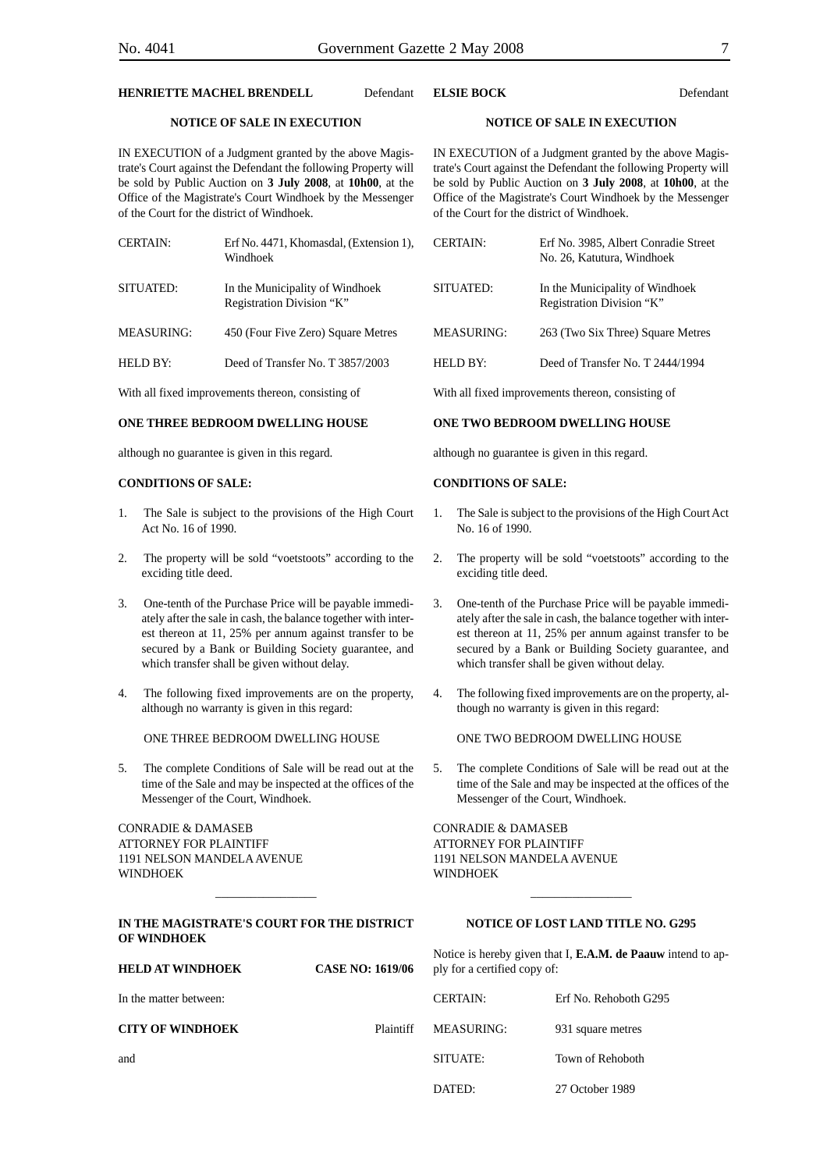#### **HENRIETTE MACHEL BRENDELL** Defendant

#### **NOTICE OF SALE IN EXECUTION**

IN EXECUTION of a Judgment granted by the above Magistrate's Court against the Defendant the following Property will be sold by Public Auction on **3 July 2008**, at **10h00**, at the Office of the Magistrate's Court Windhoek by the Messenger of the Court for the district of Windhoek.

| <b>CERTAIN:</b>   | Erf No. 4471, Khomasdal, (Extension 1),<br>Windhoek          |
|-------------------|--------------------------------------------------------------|
| SITUATED:         | In the Municipality of Windhoek<br>Registration Division "K" |
| <b>MEASURING:</b> | 450 (Four Five Zero) Square Metres                           |

HELD BY: Deed of Transfer No. T 3857/2003

With all fixed improvements thereon, consisting of

#### **ONE THREE BEDROOM DWELLING HOUSE**

although no guarantee is given in this regard.

#### **CONDITIONS OF SALE:**

- 1. The Sale is subject to the provisions of the High Court Act No. 16 of 1990.
- 2. The property will be sold "voetstoots" according to the exciding title deed.
- 3. One-tenth of the Purchase Price will be payable immediately after the sale in cash, the balance together with interest thereon at 11, 25% per annum against transfer to be secured by a Bank or Building Society guarantee, and which transfer shall be given without delay.
- 4. The following fixed improvements are on the property, although no warranty is given in this regard:

ONE THREE BEDROOM DWELLING HOUSE

5. The complete Conditions of Sale will be read out at the time of the Sale and may be inspected at the offices of the Messenger of the Court, Windhoek.

CONRADIE & DAMASEB ATTORNEY FOR PLAINTIFF 1191 NELSON MANDELA AVENUE WINDHOEK

#### **IN THE MAGISTRATE'S COURT FOR THE DISTRICT OF WINDHOEK**

**HELD AT WINDHOEK CASE NO: 1619/06**

\_\_\_\_\_\_\_\_\_\_\_\_\_\_\_\_\_

#### **NOTICE OF LOST LAND TITLE NO. G295**

Notice is hereby given that I, **E.A.M. de Paauw** intend to apply for a certified copy of:

| CERTAIN.             | Erf No. Rehoboth G295 |
|----------------------|-----------------------|
| Plaintiff MEASURING: | 931 square metres     |
| SITUATE:             | Town of Rehoboth      |
| DATED:               | 27 October 1989       |

### **NOTICE OF SALE IN EXECUTION**

IN EXECUTION of a Judgment granted by the above Magistrate's Court against the Defendant the following Property will be sold by Public Auction on **3 July 2008**, at **10h00**, at the Office of the Magistrate's Court Windhoek by the Messenger of the Court for the district of Windhoek.

**ELSIE BOCK** Defendant

| <b>CERTAIN:</b>                                    | Erf No. 3985, Albert Conradie Street<br>No. 26, Katutura, Windhoek |  |
|----------------------------------------------------|--------------------------------------------------------------------|--|
| SITUATED:                                          | In the Municipality of Windhoek<br>Registration Division "K"       |  |
| <b>MEASURING:</b>                                  | 263 (Two Six Three) Square Metres                                  |  |
| HELD BY:                                           | Deed of Transfer No. T 2444/1994                                   |  |
| With all fixed improvements thereon, consisting of |                                                                    |  |

#### **ONE TWO BEDROOM DWELLING HOUSE**

although no guarantee is given in this regard.

#### **CONDITIONS OF SALE:**

- 1. The Sale is subject to the provisions of the High Court Act No. 16 of 1990.
- 2. The property will be sold "voetstoots" according to the exciding title deed.
- 3. One-tenth of the Purchase Price will be payable immediately after the sale in cash, the balance together with interest thereon at 11, 25% per annum against transfer to be secured by a Bank or Building Society guarantee, and which transfer shall be given without delay.
- 4. The following fixed improvements are on the property, although no warranty is given in this regard:

ONE TWO BEDROOM DWELLING HOUSE

5. The complete Conditions of Sale will be read out at the time of the Sale and may be inspected at the offices of the Messenger of the Court, Windhoek.

CONRADIE & DAMASEB ATTORNEY FOR PLAINTIFF 1191 NELSON MANDELA AVENUE WINDHOEK

# **CITY OF WINDHOEK**

In the matter between:

and

\_\_\_\_\_\_\_\_\_\_\_\_\_\_\_\_\_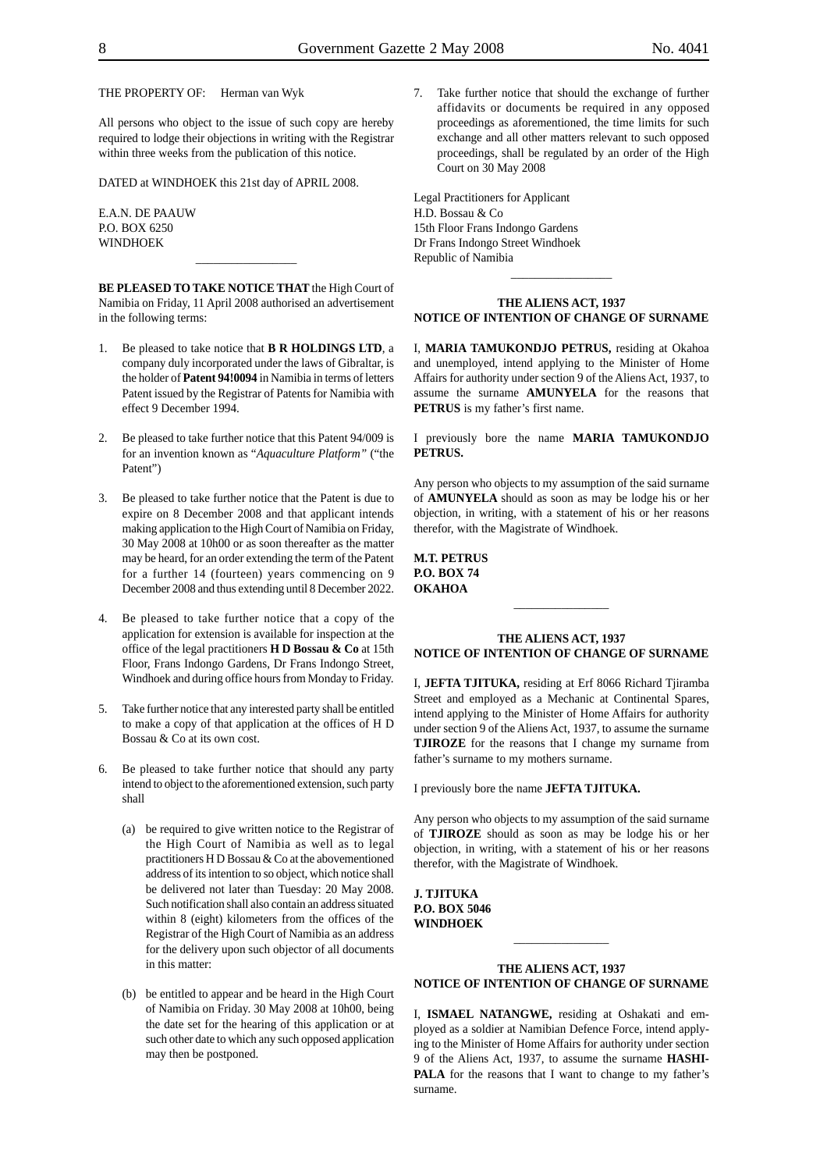THE PROPERTY OF: Herman van Wyk

All persons who object to the issue of such copy are hereby required to lodge their objections in writing with the Registrar within three weeks from the publication of this notice.

DATED at WINDHOEK this 21st day of APRIL 2008.

E.A.N. DE PAAUW P.O. BOX 6250 WINDHOEK

**BE PLEASED TO TAKE NOTICE THAT** the High Court of Namibia on Friday, 11 April 2008 authorised an advertisement in the following terms:

 $\overline{\phantom{a}}$ 

- 1. Be pleased to take notice that **B R HOLDINGS LTD**, a company duly incorporated under the laws of Gibraltar, is the holder of **Patent 94!0094** in Namibia in terms of letters Patent issued by the Registrar of Patents for Namibia with effect 9 December 1994.
- 2. Be pleased to take further notice that this Patent 94/009 is for an invention known as "*Aquaculture Platform"* ("the Patent")
- 3. Be pleased to take further notice that the Patent is due to expire on 8 December 2008 and that applicant intends making application to the High Court of Namibia on Friday, 30 May 2008 at 10h00 or as soon thereafter as the matter may be heard, for an order extending the term of the Patent for a further 14 (fourteen) years commencing on 9 December 2008 and thus extending until 8 December 2022.
- 4. Be pleased to take further notice that a copy of the application for extension is available for inspection at the office of the legal practitioners **H D Bossau & Co** at 15th Floor, Frans Indongo Gardens, Dr Frans Indongo Street, Windhoek and during office hours from Monday to Friday.
- 5. Take further notice that any interested party shall be entitled to make a copy of that application at the offices of H D Bossau & Co at its own cost.
- 6. Be pleased to take further notice that should any party intend to object to the aforementioned extension, such party shall
	- (a) be required to give written notice to the Registrar of the High Court of Namibia as well as to legal practitioners H D Bossau & Co at the abovementioned address of its intention to so object, which notice shall be delivered not later than Tuesday: 20 May 2008. Such notification shall also contain an address situated within 8 (eight) kilometers from the offices of the Registrar of the High Court of Namibia as an address for the delivery upon such objector of all documents in this matter:
	- (b) be entitled to appear and be heard in the High Court of Namibia on Friday. 30 May 2008 at 10h00, being the date set for the hearing of this application or at such other date to which any such opposed application may then be postponed.

7. Take further notice that should the exchange of further affidavits or documents be required in any opposed proceedings as aforementioned, the time limits for such exchange and all other matters relevant to such opposed proceedings, shall be regulated by an order of the High Court on 30 May 2008

Legal Practitioners for Applicant H.D. Bossau & Co 15th Floor Frans Indongo Gardens Dr Frans Indongo Street Windhoek Republic of Namibia

#### **THE ALIENS ACT, 1937 NOTICE OF INTENTION OF CHANGE OF SURNAME**

\_\_\_\_\_\_\_\_\_\_\_\_\_\_\_\_\_

I, **MARIA TAMUKONDJO PETRUS,** residing at Okahoa and unemployed, intend applying to the Minister of Home Affairs for authority under section 9 of the Aliens Act, 1937, to assume the surname **AMUNYELA** for the reasons that **PETRUS** is my father's first name.

I previously bore the name **MARIA TAMUKONDJO PETRUS.**

Any person who objects to my assumption of the said surname of **AMUNYELA** should as soon as may be lodge his or her objection, in writing, with a statement of his or her reasons therefor, with the Magistrate of Windhoek.

**M.T. PETRUS P.O. BOX 74 OKAHOA**

#### **THE ALIENS ACT, 1937 NOTICE OF INTENTION OF CHANGE OF SURNAME**

\_\_\_\_\_\_\_\_\_\_\_\_\_\_\_\_

I, **JEFTA TJITUKA,** residing at Erf 8066 Richard Tjiramba Street and employed as a Mechanic at Continental Spares, intend applying to the Minister of Home Affairs for authority under section 9 of the Aliens Act, 1937, to assume the surname **TJIROZE** for the reasons that I change my surname from father's surname to my mothers surname.

I previously bore the name **JEFTA TJITUKA.**

Any person who objects to my assumption of the said surname of **TJIROZE** should as soon as may be lodge his or her objection, in writing, with a statement of his or her reasons therefor, with the Magistrate of Windhoek.

**J. TJITUKA P.O. BOX 5046 WINDHOEK**

#### **THE ALIENS ACT, 1937 NOTICE OF INTENTION OF CHANGE OF SURNAME**

\_\_\_\_\_\_\_\_\_\_\_\_\_\_\_\_

I, **ISMAEL NATANGWE,** residing at Oshakati and employed as a soldier at Namibian Defence Force, intend applying to the Minister of Home Affairs for authority under section 9 of the Aliens Act, 1937, to assume the surname **HASHI-**PALA for the reasons that I want to change to my father's surname.